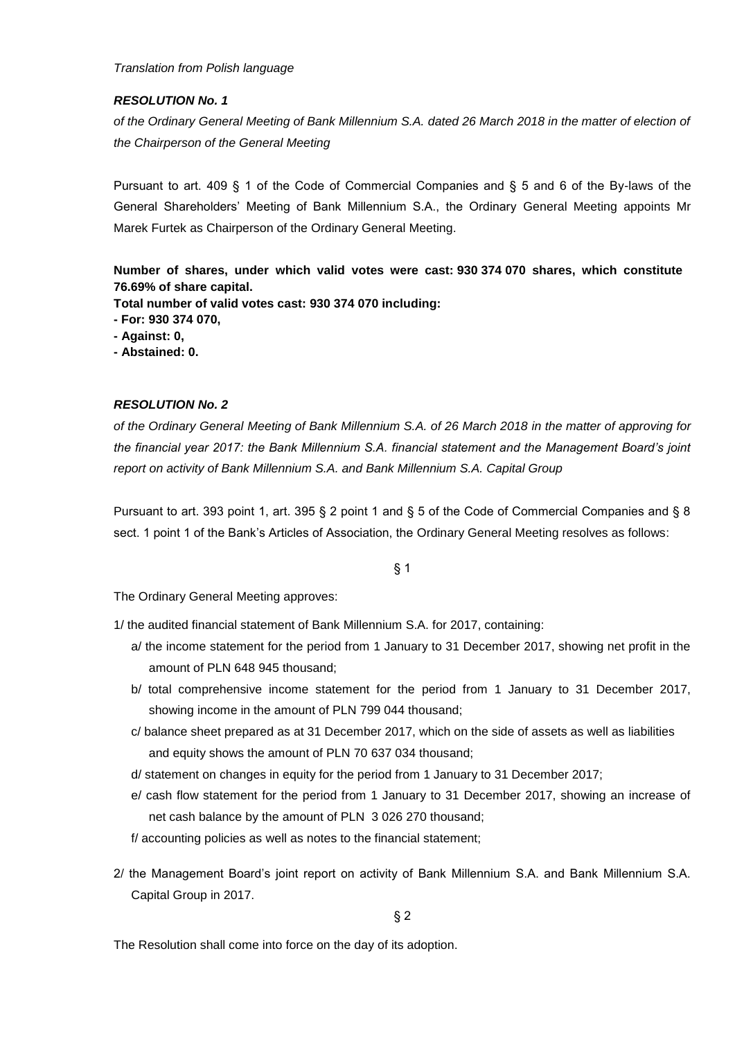*Translation from Polish language* 

## *RESOLUTION No. 1*

*of the Ordinary General Meeting of Bank Millennium S.A. dated 26 March 2018 in the matter of election of the Chairperson of the General Meeting*

Pursuant to art. 409 § 1 of the Code of Commercial Companies and § 5 and 6 of the By-laws of the General Shareholders' Meeting of Bank Millennium S.A., the Ordinary General Meeting appoints Mr Marek Furtek as Chairperson of the Ordinary General Meeting.

**Number of shares, under which valid votes were cast: 930 374 070 shares, which constitute 76.69% of share capital.**

**Total number of valid votes cast: 930 374 070 including:**

**- For: 930 374 070,**

**- Against: 0,**

**- Abstained: 0.**

#### *RESOLUTION No. 2*

*of the Ordinary General Meeting of Bank Millennium S.A. of 26 March 2018 in the matter of approving for the financial year 2017: the Bank Millennium S.A. financial statement and the Management Board's joint report on activity of Bank Millennium S.A. and Bank Millennium S.A. Capital Group*

Pursuant to art. 393 point 1, art. 395 § 2 point 1 and § 5 of the Code of Commercial Companies and § 8 sect. 1 point 1 of the Bank's Articles of Association, the Ordinary General Meeting resolves as follows:

§ 1

The Ordinary General Meeting approves:

1/ the audited financial statement of Bank Millennium S.A. for 2017, containing:

- a/ the income statement for the period from 1 January to 31 December 2017, showing net profit in the amount of PLN 648 945 thousand;
- b/ total comprehensive income statement for the period from 1 January to 31 December 2017, showing income in the amount of PLN 799 044 thousand;
- c/ balance sheet prepared as at 31 December 2017, which on the side of assets as well as liabilities and equity shows the amount of PLN 70 637 034 thousand;
- d/ statement on changes in equity for the period from 1 January to 31 December 2017;
- e/ cash flow statement for the period from 1 January to 31 December 2017, showing an increase of net cash balance by the amount of PLN 3 026 270 thousand;
- f/ accounting policies as well as notes to the financial statement;
- 2/ the Management Board's joint report on activity of Bank Millennium S.A. and Bank Millennium S.A. Capital Group in 2017.

§ 2

The Resolution shall come into force on the day of its adoption.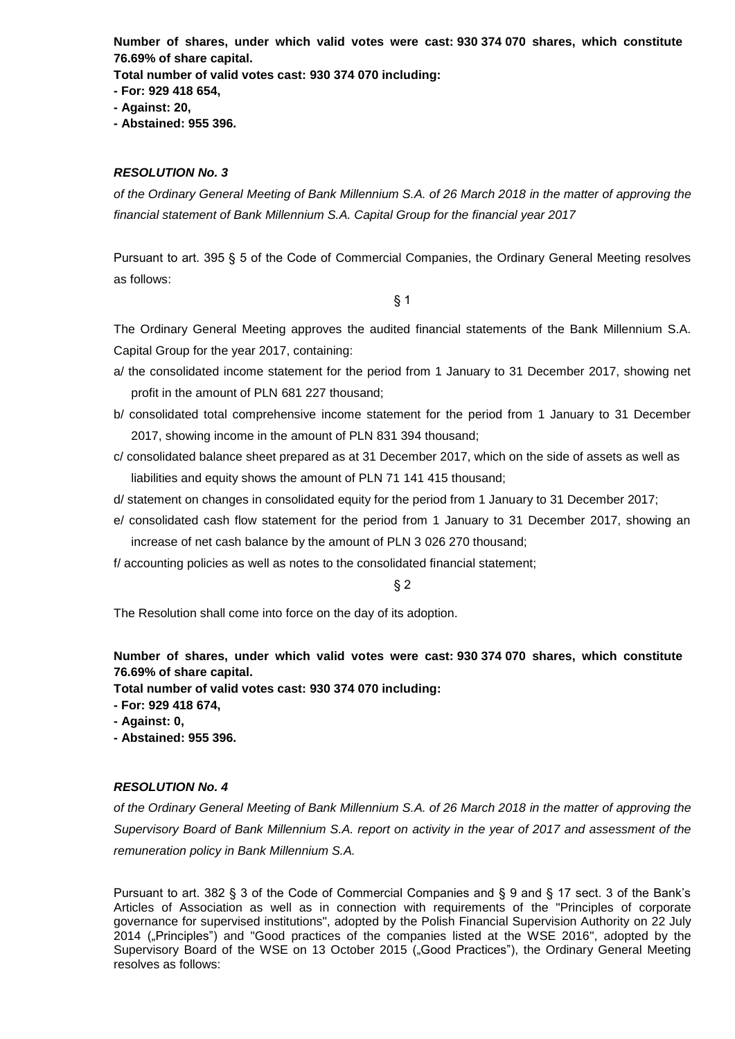**Number of shares, under which valid votes were cast: 930 374 070 shares, which constitute 76.69% of share capital.**

**Total number of valid votes cast: 930 374 070 including:**

**- For: 929 418 654,**

- **- Against: 20,**
- **- Abstained: 955 396.**

#### *RESOLUTION No. 3*

*of the Ordinary General Meeting of Bank Millennium S.A. of 26 March 2018 in the matter of approving the financial statement of Bank Millennium S.A. Capital Group for the financial year 2017*

Pursuant to art. 395 § 5 of the Code of Commercial Companies, the Ordinary General Meeting resolves as follows:

§ 1

The Ordinary General Meeting approves the audited financial statements of the Bank Millennium S.A. Capital Group for the year 2017, containing:

- a/ the consolidated income statement for the period from 1 January to 31 December 2017, showing net profit in the amount of PLN 681 227 thousand;
- b/ consolidated total comprehensive income statement for the period from 1 January to 31 December 2017, showing income in the amount of PLN 831 394 thousand;
- c/ consolidated balance sheet prepared as at 31 December 2017, which on the side of assets as well as liabilities and equity shows the amount of PLN 71 141 415 thousand;
- d/ statement on changes in consolidated equity for the period from 1 January to 31 December 2017;
- e/ consolidated cash flow statement for the period from 1 January to 31 December 2017, showing an increase of net cash balance by the amount of PLN 3 026 270 thousand;
- f/ accounting policies as well as notes to the consolidated financial statement;

§ 2

The Resolution shall come into force on the day of its adoption.

**Number of shares, under which valid votes were cast: 930 374 070 shares, which constitute 76.69% of share capital.**

**Total number of valid votes cast: 930 374 070 including:**

- **- For: 929 418 674,**
- **- Against: 0,**
- **- Abstained: 955 396.**

## *RESOLUTION No. 4*

*of the Ordinary General Meeting of Bank Millennium S.A. of 26 March 2018 in the matter of approving the Supervisory Board of Bank Millennium S.A. report on activity in the year of 2017 and assessment of the remuneration policy in Bank Millennium S.A.*

Pursuant to art. 382 § 3 of the Code of Commercial Companies and § 9 and § 17 sect. 3 of the Bank's Articles of Association as well as in connection with requirements of the "Principles of corporate governance for supervised institutions", adopted by the Polish Financial Supervision Authority on 22 July 2014 ("Principles") and "Good practices of the companies listed at the WSE 2016", adopted by the Supervisory Board of the WSE on 13 October 2015 ("Good Practices"), the Ordinary General Meeting resolves as follows: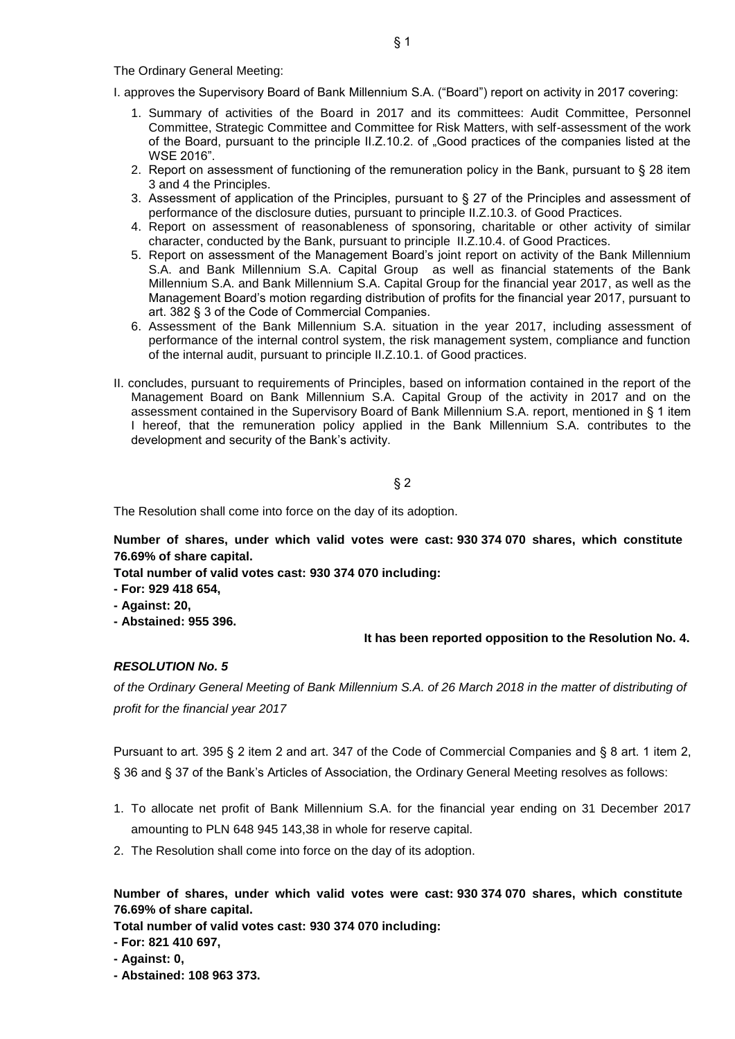The Ordinary General Meeting:

I. approves the Supervisory Board of Bank Millennium S.A. ("Board") report on activity in 2017 covering:

- 1. Summary of activities of the Board in 2017 and its committees: Audit Committee, Personnel Committee, Strategic Committee and Committee for Risk Matters, with self-assessment of the work of the Board, pursuant to the principle II.Z.10.2. of "Good practices of the companies listed at the WSE 2016".
- 2. Report on assessment of functioning of the remuneration policy in the Bank, pursuant to § 28 item 3 and 4 the Principles.
- 3. Assessment of application of the Principles, pursuant to § 27 of the Principles and assessment of performance of the disclosure duties, pursuant to principle II.Z.10.3. of Good Practices.
- 4. Report on assessment of reasonableness of sponsoring, charitable or other activity of similar character, conducted by the Bank, pursuant to principle II.Z.10.4. of Good Practices.
- 5. Report on assessment of the Management Board's joint report on activity of the Bank Millennium S.A. and Bank Millennium S.A. Capital Group as well as financial statements of the Bank Millennium S.A. and Bank Millennium S.A. Capital Group for the financial year 2017, as well as the Management Board's motion regarding distribution of profits for the financial year 2017, pursuant to art. 382 § 3 of the Code of Commercial Companies.
- 6. Assessment of the Bank Millennium S.A. situation in the year 2017, including assessment of performance of the internal control system, the risk management system, compliance and function of the internal audit, pursuant to principle II.Z.10.1. of Good practices.
- II. concludes, pursuant to requirements of Principles, based on information contained in the report of the Management Board on Bank Millennium S.A. Capital Group of the activity in 2017 and on the assessment contained in the Supervisory Board of Bank Millennium S.A. report, mentioned in § 1 item I hereof, that the remuneration policy applied in the Bank Millennium S.A. contributes to the development and security of the Bank's activity.

§ 2

The Resolution shall come into force on the day of its adoption.

**Number of shares, under which valid votes were cast: 930 374 070 shares, which constitute 76.69% of share capital.**

**Total number of valid votes cast: 930 374 070 including:**

- **- For: 929 418 654,**
- **- Against: 20,**
- **- Abstained: 955 396.**

#### **It has been reported opposition to the Resolution No. 4.**

#### *RESOLUTION No. 5*

*of the Ordinary General Meeting of Bank Millennium S.A. of 26 March 2018 in the matter of distributing of profit for the financial year 2017*

Pursuant to art. 395 § 2 item 2 and art. 347 of the Code of Commercial Companies and § 8 art. 1 item 2, § 36 and § 37 of the Bank's Articles of Association, the Ordinary General Meeting resolves as follows:

- 1. To allocate net profit of Bank Millennium S.A. for the financial year ending on 31 December 2017 amounting to PLN 648 945 143,38 in whole for reserve capital.
- 2. The Resolution shall come into force on the day of its adoption.

**Number of shares, under which valid votes were cast: 930 374 070 shares, which constitute 76.69% of share capital.**

**Total number of valid votes cast: 930 374 070 including:**

**- For: 821 410 697,**

- **- Against: 0,**
- **- Abstained: 108 963 373.**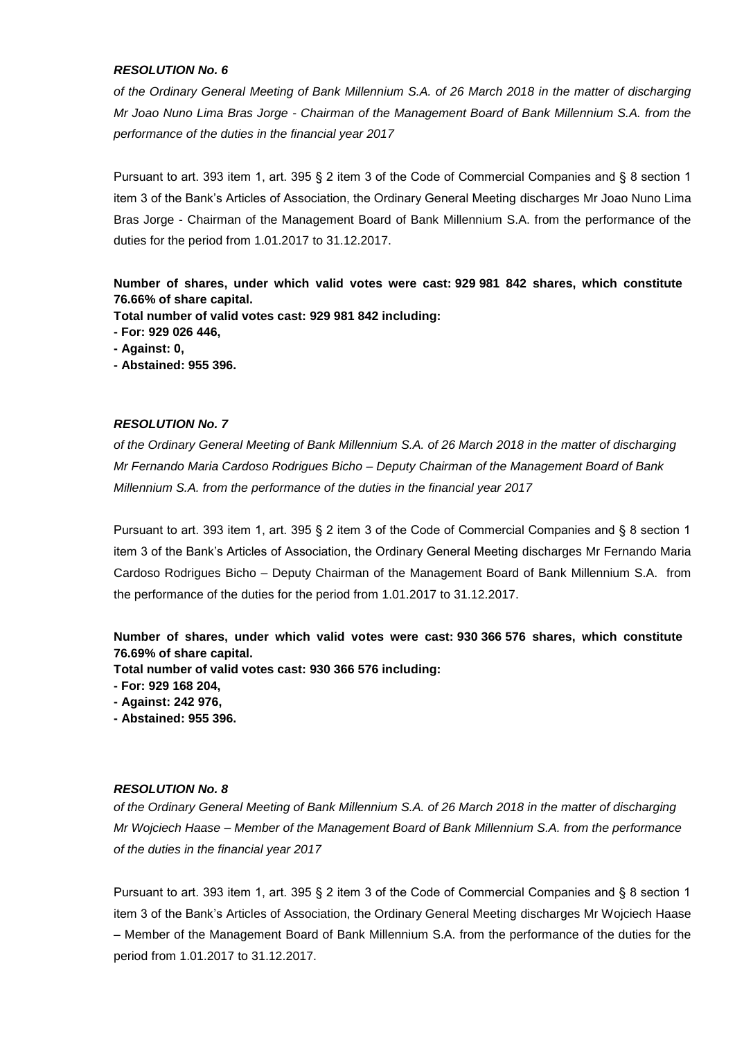*of the Ordinary General Meeting of Bank Millennium S.A. of 26 March 2018 in the matter of discharging Mr Joao Nuno Lima Bras Jorge - Chairman of the Management Board of Bank Millennium S.A. from the performance of the duties in the financial year 2017*

Pursuant to art. 393 item 1, art. 395 § 2 item 3 of the Code of Commercial Companies and § 8 section 1 item 3 of the Bank's Articles of Association, the Ordinary General Meeting discharges Mr Joao Nuno Lima Bras Jorge - Chairman of the Management Board of Bank Millennium S.A. from the performance of the duties for the period from 1.01.2017 to 31.12.2017.

**Number of shares, under which valid votes were cast: 929 981 842 shares, which constitute 76.66% of share capital.**

**Total number of valid votes cast: 929 981 842 including:**

**- For: 929 026 446,**

**- Against: 0,**

**- Abstained: 955 396.**

#### *RESOLUTION No. 7*

*of the Ordinary General Meeting of Bank Millennium S.A. of 26 March 2018 in the matter of discharging Mr Fernando Maria Cardoso Rodrigues Bicho – Deputy Chairman of the Management Board of Bank Millennium S.A. from the performance of the duties in the financial year 2017*

Pursuant to art. 393 item 1, art. 395 § 2 item 3 of the Code of Commercial Companies and § 8 section 1 item 3 of the Bank's Articles of Association, the Ordinary General Meeting discharges Mr Fernando Maria Cardoso Rodrigues Bicho – Deputy Chairman of the Management Board of Bank Millennium S.A. from the performance of the duties for the period from 1.01.2017 to 31.12.2017.

**Number of shares, under which valid votes were cast: 930 366 576 shares, which constitute 76.69% of share capital.**

**Total number of valid votes cast: 930 366 576 including:**

**- For: 929 168 204,**

**- Against: 242 976,**

**- Abstained: 955 396.**

## *RESOLUTION No. 8*

*of the Ordinary General Meeting of Bank Millennium S.A. of 26 March 2018 in the matter of discharging Mr Wojciech Haase – Member of the Management Board of Bank Millennium S.A. from the performance of the duties in the financial year 2017*

Pursuant to art. 393 item 1, art. 395 § 2 item 3 of the Code of Commercial Companies and § 8 section 1 item 3 of the Bank's Articles of Association, the Ordinary General Meeting discharges Mr Wojciech Haase – Member of the Management Board of Bank Millennium S.A. from the performance of the duties for the period from 1.01.2017 to 31.12.2017.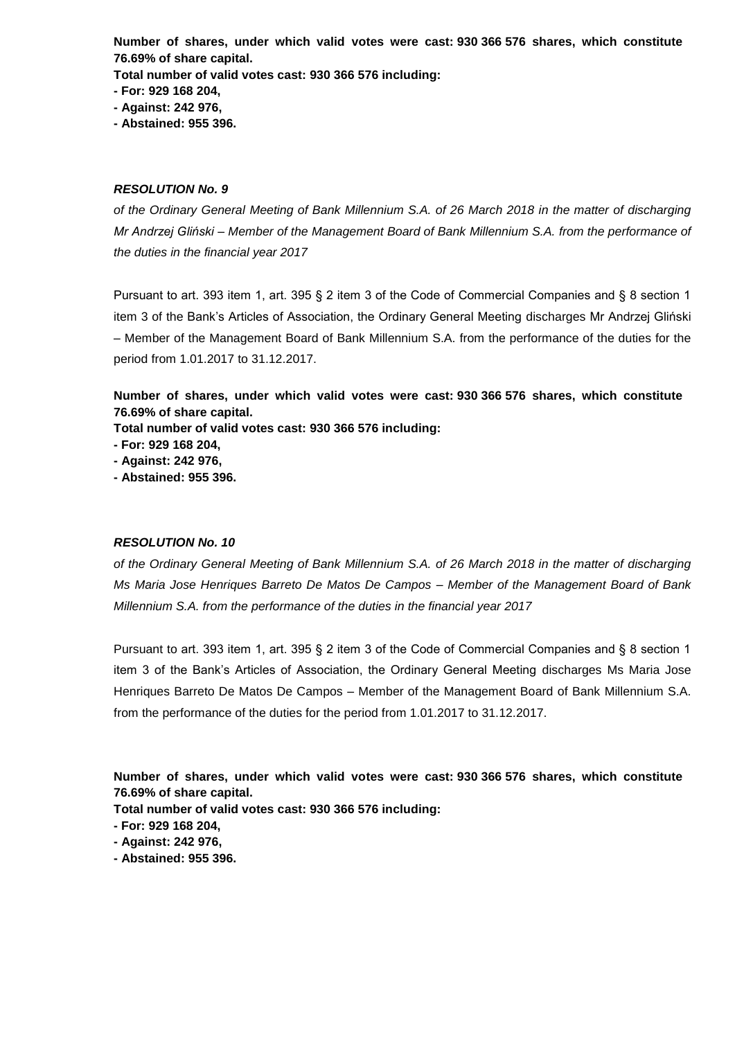**Number of shares, under which valid votes were cast: 930 366 576 shares, which constitute 76.69% of share capital.**

**Total number of valid votes cast: 930 366 576 including:**

**- For: 929 168 204,**

**- Against: 242 976,**

**- Abstained: 955 396.**

#### *RESOLUTION No. 9*

*of the Ordinary General Meeting of Bank Millennium S.A. of 26 March 2018 in the matter of discharging Mr Andrzej Gliński – Member of the Management Board of Bank Millennium S.A. from the performance of the duties in the financial year 2017*

Pursuant to art. 393 item 1, art. 395 § 2 item 3 of the Code of Commercial Companies and § 8 section 1 item 3 of the Bank's Articles of Association, the Ordinary General Meeting discharges Mr Andrzej Gliński – Member of the Management Board of Bank Millennium S.A. from the performance of the duties for the period from 1.01.2017 to 31.12.2017.

**Number of shares, under which valid votes were cast: 930 366 576 shares, which constitute 76.69% of share capital.**

**Total number of valid votes cast: 930 366 576 including:**

**- For: 929 168 204,**

**- Against: 242 976,**

**- Abstained: 955 396.**

#### *RESOLUTION No. 10*

*of the Ordinary General Meeting of Bank Millennium S.A. of 26 March 2018 in the matter of discharging Ms Maria Jose Henriques Barreto De Matos De Campos – Member of the Management Board of Bank Millennium S.A. from the performance of the duties in the financial year 2017*

Pursuant to art. 393 item 1, art. 395 § 2 item 3 of the Code of Commercial Companies and § 8 section 1 item 3 of the Bank's Articles of Association, the Ordinary General Meeting discharges Ms Maria Jose Henriques Barreto De Matos De Campos – Member of the Management Board of Bank Millennium S.A. from the performance of the duties for the period from 1.01.2017 to 31.12.2017.

**Number of shares, under which valid votes were cast: 930 366 576 shares, which constitute 76.69% of share capital.**

**Total number of valid votes cast: 930 366 576 including:**

**- For: 929 168 204,**

**- Against: 242 976,**

**- Abstained: 955 396.**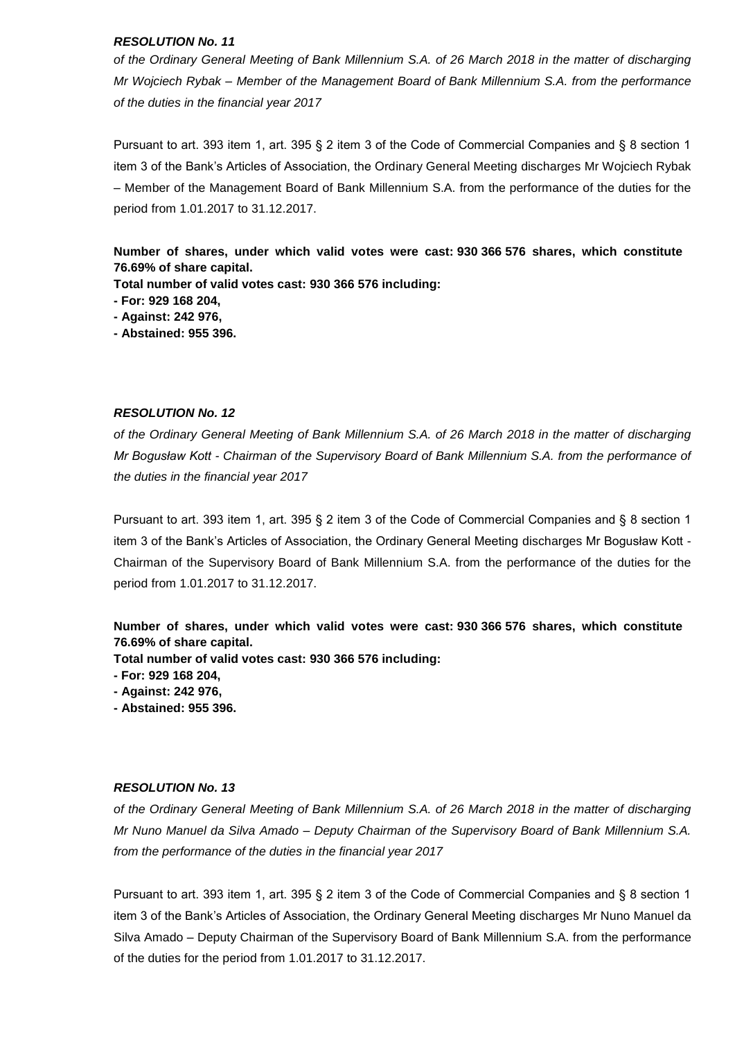*of the Ordinary General Meeting of Bank Millennium S.A. of 26 March 2018 in the matter of discharging Mr Wojciech Rybak – Member of the Management Board of Bank Millennium S.A. from the performance of the duties in the financial year 2017*

Pursuant to art. 393 item 1, art. 395 § 2 item 3 of the Code of Commercial Companies and § 8 section 1 item 3 of the Bank's Articles of Association, the Ordinary General Meeting discharges Mr Wojciech Rybak – Member of the Management Board of Bank Millennium S.A. from the performance of the duties for the period from 1.01.2017 to 31.12.2017.

**Number of shares, under which valid votes were cast: 930 366 576 shares, which constitute 76.69% of share capital.**

**Total number of valid votes cast: 930 366 576 including:**

- **- For: 929 168 204,**
- **- Against: 242 976,**
- **- Abstained: 955 396.**

#### *RESOLUTION No. 12*

*of the Ordinary General Meeting of Bank Millennium S.A. of 26 March 2018 in the matter of discharging Mr Bogusław Kott - Chairman of the Supervisory Board of Bank Millennium S.A. from the performance of the duties in the financial year 2017*

Pursuant to art. 393 item 1, art. 395 § 2 item 3 of the Code of Commercial Companies and § 8 section 1 item 3 of the Bank's Articles of Association, the Ordinary General Meeting discharges Mr Bogusław Kott - Chairman of the Supervisory Board of Bank Millennium S.A. from the performance of the duties for the period from 1.01.2017 to 31.12.2017.

**Number of shares, under which valid votes were cast: 930 366 576 shares, which constitute 76.69% of share capital.**

**Total number of valid votes cast: 930 366 576 including:**

- **- For: 929 168 204,**
- **- Against: 242 976,**
- **- Abstained: 955 396.**

## *RESOLUTION No. 13*

*of the Ordinary General Meeting of Bank Millennium S.A. of 26 March 2018 in the matter of discharging Mr Nuno Manuel da Silva Amado – Deputy Chairman of the Supervisory Board of Bank Millennium S.A. from the performance of the duties in the financial year 2017*

Pursuant to art. 393 item 1, art. 395 § 2 item 3 of the Code of Commercial Companies and § 8 section 1 item 3 of the Bank's Articles of Association, the Ordinary General Meeting discharges Mr Nuno Manuel da Silva Amado – Deputy Chairman of the Supervisory Board of Bank Millennium S.A. from the performance of the duties for the period from 1.01.2017 to 31.12.2017.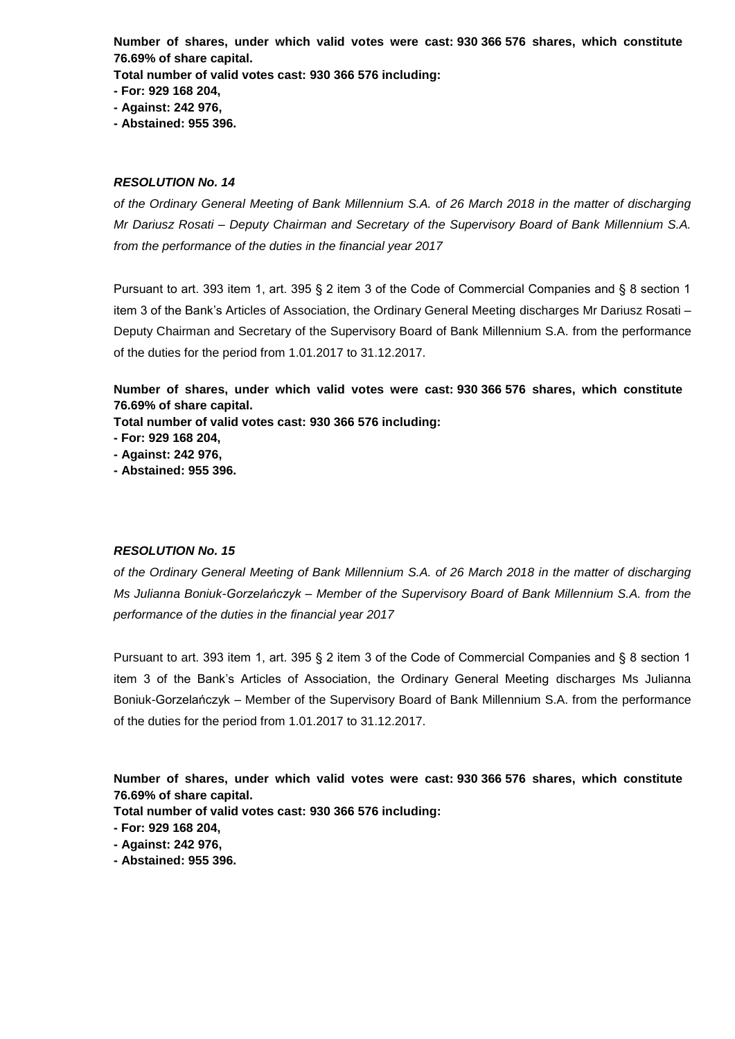**Number of shares, under which valid votes were cast: 930 366 576 shares, which constitute 76.69% of share capital.**

**Total number of valid votes cast: 930 366 576 including:**

- **- For: 929 168 204,**
- **- Against: 242 976,**
- **- Abstained: 955 396.**

## *RESOLUTION No. 14*

*of the Ordinary General Meeting of Bank Millennium S.A. of 26 March 2018 in the matter of discharging Mr Dariusz Rosati – Deputy Chairman and Secretary of the Supervisory Board of Bank Millennium S.A. from the performance of the duties in the financial year 2017*

Pursuant to art. 393 item 1, art. 395 § 2 item 3 of the Code of Commercial Companies and § 8 section 1 item 3 of the Bank's Articles of Association, the Ordinary General Meeting discharges Mr Dariusz Rosati – Deputy Chairman and Secretary of the Supervisory Board of Bank Millennium S.A. from the performance of the duties for the period from 1.01.2017 to 31.12.2017.

**Number of shares, under which valid votes were cast: 930 366 576 shares, which constitute 76.69% of share capital.**

**Total number of valid votes cast: 930 366 576 including:**

- **- For: 929 168 204,**
- **- Against: 242 976,**
- **- Abstained: 955 396.**

## *RESOLUTION No. 15*

*of the Ordinary General Meeting of Bank Millennium S.A. of 26 March 2018 in the matter of discharging Ms Julianna Boniuk-Gorzelańczyk – Member of the Supervisory Board of Bank Millennium S.A. from the performance of the duties in the financial year 2017*

Pursuant to art. 393 item 1, art. 395 § 2 item 3 of the Code of Commercial Companies and § 8 section 1 item 3 of the Bank's Articles of Association, the Ordinary General Meeting discharges Ms Julianna Boniuk-Gorzelańczyk – Member of the Supervisory Board of Bank Millennium S.A. from the performance of the duties for the period from 1.01.2017 to 31.12.2017.

**Number of shares, under which valid votes were cast: 930 366 576 shares, which constitute 76.69% of share capital.**

**Total number of valid votes cast: 930 366 576 including:**

- **- For: 929 168 204,**
- **- Against: 242 976,**
- **- Abstained: 955 396.**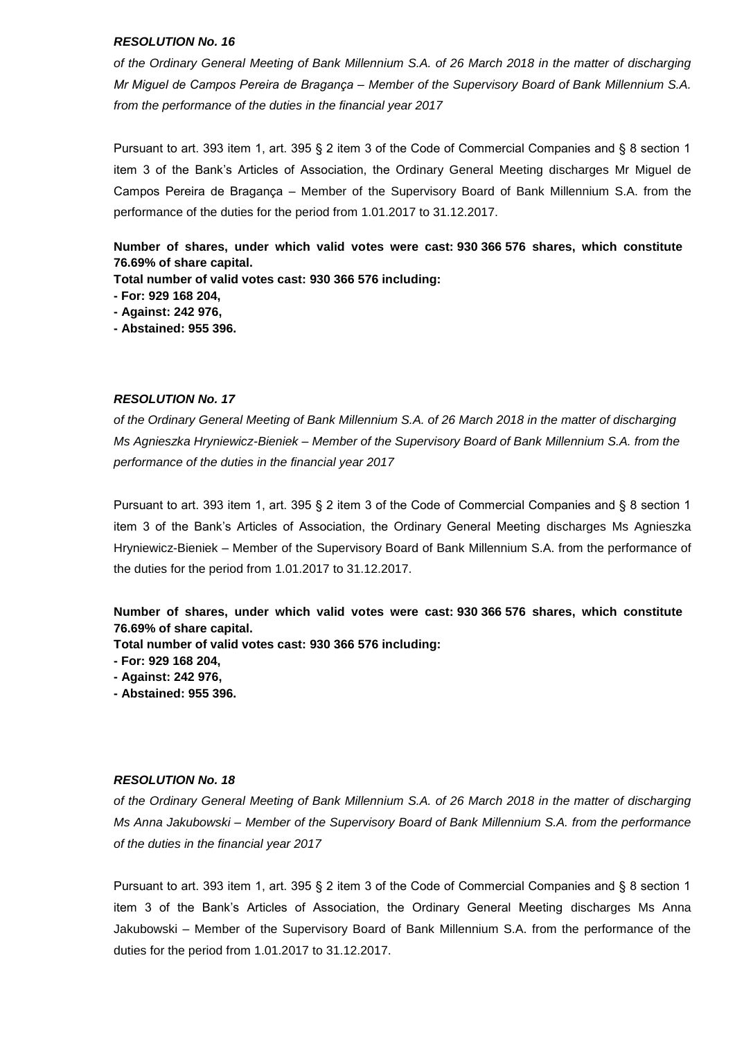*of the Ordinary General Meeting of Bank Millennium S.A. of 26 March 2018 in the matter of discharging Mr Miguel de Campos Pereira de Bragança – Member of the Supervisory Board of Bank Millennium S.A. from the performance of the duties in the financial year 2017*

Pursuant to art. 393 item 1, art. 395 § 2 item 3 of the Code of Commercial Companies and § 8 section 1 item 3 of the Bank's Articles of Association, the Ordinary General Meeting discharges Mr Miguel de Campos Pereira de Bragança – Member of the Supervisory Board of Bank Millennium S.A. from the performance of the duties for the period from 1.01.2017 to 31.12.2017.

**Number of shares, under which valid votes were cast: 930 366 576 shares, which constitute 76.69% of share capital.**

**Total number of valid votes cast: 930 366 576 including:**

**- For: 929 168 204,**

**- Against: 242 976,**

**- Abstained: 955 396.**

#### *RESOLUTION No. 17*

*of the Ordinary General Meeting of Bank Millennium S.A. of 26 March 2018 in the matter of discharging Ms Agnieszka Hryniewicz-Bieniek – Member of the Supervisory Board of Bank Millennium S.A. from the performance of the duties in the financial year 2017*

Pursuant to art. 393 item 1, art. 395 § 2 item 3 of the Code of Commercial Companies and § 8 section 1 item 3 of the Bank's Articles of Association, the Ordinary General Meeting discharges Ms Agnieszka Hryniewicz-Bieniek – Member of the Supervisory Board of Bank Millennium S.A. from the performance of the duties for the period from 1.01.2017 to 31.12.2017.

**Number of shares, under which valid votes were cast: 930 366 576 shares, which constitute 76.69% of share capital.**

**Total number of valid votes cast: 930 366 576 including:**

- **- For: 929 168 204,**
- **- Against: 242 976,**
- **- Abstained: 955 396.**

#### *RESOLUTION No. 18*

*of the Ordinary General Meeting of Bank Millennium S.A. of 26 March 2018 in the matter of discharging Ms Anna Jakubowski – Member of the Supervisory Board of Bank Millennium S.A. from the performance of the duties in the financial year 2017*

Pursuant to art. 393 item 1, art. 395 § 2 item 3 of the Code of Commercial Companies and § 8 section 1 item 3 of the Bank's Articles of Association, the Ordinary General Meeting discharges Ms Anna Jakubowski – Member of the Supervisory Board of Bank Millennium S.A. from the performance of the duties for the period from 1.01.2017 to 31.12.2017.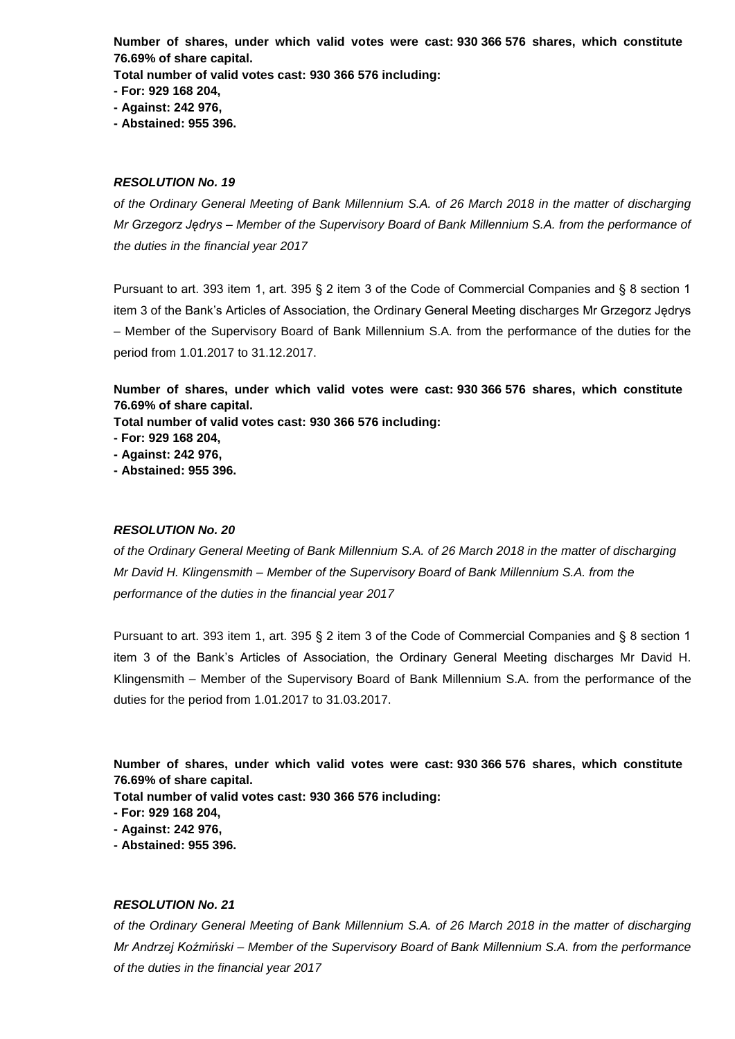**Number of shares, under which valid votes were cast: 930 366 576 shares, which constitute 76.69% of share capital.**

**Total number of valid votes cast: 930 366 576 including:**

**- For: 929 168 204,**

**- Against: 242 976,**

**- Abstained: 955 396.**

## *RESOLUTION No. 19*

*of the Ordinary General Meeting of Bank Millennium S.A. of 26 March 2018 in the matter of discharging Mr Grzegorz Jędrys – Member of the Supervisory Board of Bank Millennium S.A. from the performance of the duties in the financial year 2017*

Pursuant to art. 393 item 1, art. 395 § 2 item 3 of the Code of Commercial Companies and § 8 section 1 item 3 of the Bank's Articles of Association, the Ordinary General Meeting discharges Mr Grzegorz Jędrys – Member of the Supervisory Board of Bank Millennium S.A. from the performance of the duties for the period from 1.01.2017 to 31.12.2017.

**Number of shares, under which valid votes were cast: 930 366 576 shares, which constitute 76.69% of share capital.**

**Total number of valid votes cast: 930 366 576 including:**

- **- For: 929 168 204,**
- **- Against: 242 976,**
- **- Abstained: 955 396.**

## *RESOLUTION No. 20*

*of the Ordinary General Meeting of Bank Millennium S.A. of 26 March 2018 in the matter of discharging Mr David H. Klingensmith – Member of the Supervisory Board of Bank Millennium S.A. from the performance of the duties in the financial year 2017*

Pursuant to art. 393 item 1, art. 395 § 2 item 3 of the Code of Commercial Companies and § 8 section 1 item 3 of the Bank's Articles of Association, the Ordinary General Meeting discharges Mr David H. Klingensmith – Member of the Supervisory Board of Bank Millennium S.A. from the performance of the duties for the period from 1.01.2017 to 31.03.2017.

**Number of shares, under which valid votes were cast: 930 366 576 shares, which constitute 76.69% of share capital.**

**Total number of valid votes cast: 930 366 576 including:**

**- For: 929 168 204,**

**- Against: 242 976,**

**- Abstained: 955 396.**

## *RESOLUTION No. 21*

*of the Ordinary General Meeting of Bank Millennium S.A. of 26 March 2018 in the matter of discharging Mr Andrzej Koźmiński – Member of the Supervisory Board of Bank Millennium S.A. from the performance of the duties in the financial year 2017*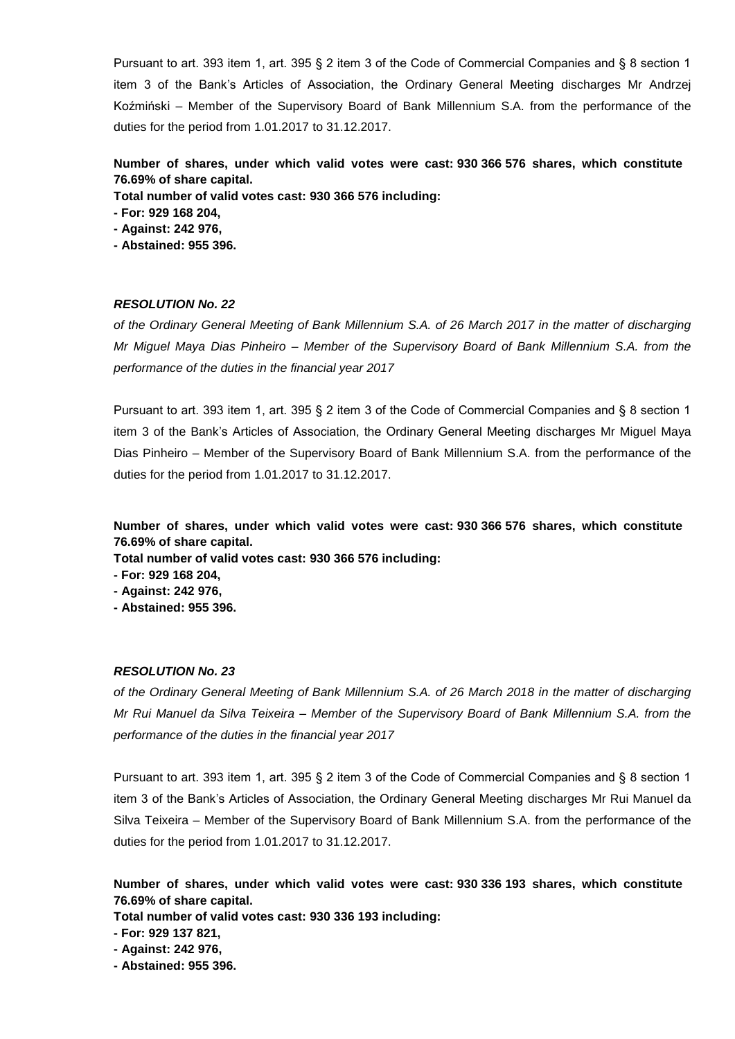Pursuant to art. 393 item 1, art. 395 § 2 item 3 of the Code of Commercial Companies and § 8 section 1 item 3 of the Bank's Articles of Association, the Ordinary General Meeting discharges Mr Andrzej Koźmiński – Member of the Supervisory Board of Bank Millennium S.A. from the performance of the duties for the period from 1.01.2017 to 31.12.2017.

# **Number of shares, under which valid votes were cast: 930 366 576 shares, which constitute 76.69% of share capital.**

**Total number of valid votes cast: 930 366 576 including:**

**- For: 929 168 204,**

**- Against: 242 976,**

**- Abstained: 955 396.**

## *RESOLUTION No. 22*

*of the Ordinary General Meeting of Bank Millennium S.A. of 26 March 2017 in the matter of discharging Mr Miguel Maya Dias Pinheiro – Member of the Supervisory Board of Bank Millennium S.A. from the performance of the duties in the financial year 2017*

Pursuant to art. 393 item 1, art. 395 § 2 item 3 of the Code of Commercial Companies and § 8 section 1 item 3 of the Bank's Articles of Association, the Ordinary General Meeting discharges Mr Miguel Maya Dias Pinheiro – Member of the Supervisory Board of Bank Millennium S.A. from the performance of the duties for the period from 1.01.2017 to 31.12.2017.

**Number of shares, under which valid votes were cast: 930 366 576 shares, which constitute 76.69% of share capital.**

**Total number of valid votes cast: 930 366 576 including:**

**- For: 929 168 204,**

**- Against: 242 976,**

**- Abstained: 955 396.**

## *RESOLUTION No. 23*

*of the Ordinary General Meeting of Bank Millennium S.A. of 26 March 2018 in the matter of discharging Mr Rui Manuel da Silva Teixeira – Member of the Supervisory Board of Bank Millennium S.A. from the performance of the duties in the financial year 2017*

Pursuant to art. 393 item 1, art. 395 § 2 item 3 of the Code of Commercial Companies and § 8 section 1 item 3 of the Bank's Articles of Association, the Ordinary General Meeting discharges Mr Rui Manuel da Silva Teixeira – Member of the Supervisory Board of Bank Millennium S.A. from the performance of the duties for the period from 1.01.2017 to 31.12.2017.

**Number of shares, under which valid votes were cast: 930 336 193 shares, which constitute 76.69% of share capital.**

**Total number of valid votes cast: 930 336 193 including:**

**- For: 929 137 821,**

**- Against: 242 976,**

**- Abstained: 955 396.**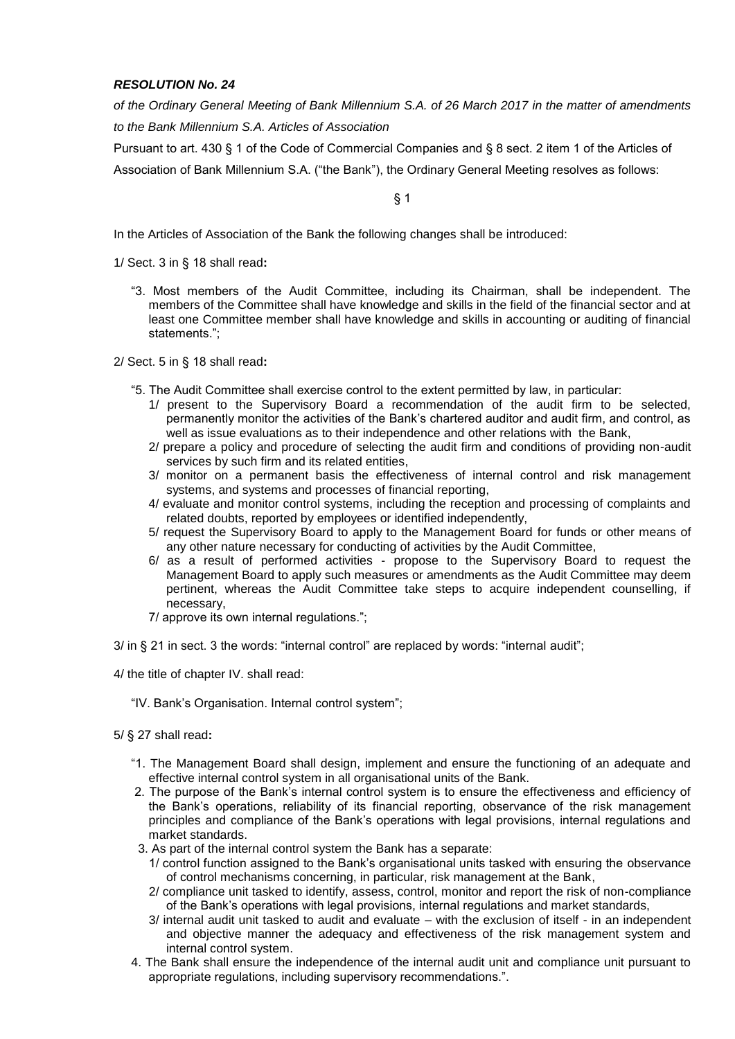*of the Ordinary General Meeting of Bank Millennium S.A. of 26 March 2017 in the matter of amendments to the Bank Millennium S.A. Articles of Association*

Pursuant to art. 430 § 1 of the Code of Commercial Companies and § 8 sect. 2 item 1 of the Articles of Association of Bank Millennium S.A. ("the Bank"), the Ordinary General Meeting resolves as follows:

§ 1

In the Articles of Association of the Bank the following changes shall be introduced:

1/ Sect. 3 in § 18 shall read**:**

"3. Most members of the Audit Committee, including its Chairman, shall be independent. The members of the Committee shall have knowledge and skills in the field of the financial sector and at least one Committee member shall have knowledge and skills in accounting or auditing of financial statements.";

2/ Sect. 5 in § 18 shall read**:**

- "5. The Audit Committee shall exercise control to the extent permitted by law, in particular:
	- 1/ present to the Supervisory Board a recommendation of the audit firm to be selected, permanently monitor the activities of the Bank's chartered auditor and audit firm, and control, as well as issue evaluations as to their independence and other relations with the Bank,
	- 2/ prepare a policy and procedure of selecting the audit firm and conditions of providing non-audit services by such firm and its related entities.
	- 3/ monitor on a permanent basis the effectiveness of internal control and risk management systems, and systems and processes of financial reporting,
	- 4/ evaluate and monitor control systems, including the reception and processing of complaints and related doubts, reported by employees or identified independently,
	- 5/ request the Supervisory Board to apply to the Management Board for funds or other means of any other nature necessary for conducting of activities by the Audit Committee,
	- 6/ as a result of performed activities propose to the Supervisory Board to request the Management Board to apply such measures or amendments as the Audit Committee may deem pertinent, whereas the Audit Committee take steps to acquire independent counselling, if necessary,
	- 7/ approve its own internal regulations.";

3/ in § 21 in sect. 3 the words: "internal control" are replaced by words: "internal audit";

4/ the title of chapter IV. shall read:

- "IV. Bank's Organisation. Internal control system";
- 5/ § 27 shall read**:**
	- "1. The Management Board shall design, implement and ensure the functioning of an adequate and effective internal control system in all organisational units of the Bank.
	- 2. The purpose of the Bank's internal control system is to ensure the effectiveness and efficiency of the Bank's operations, reliability of its financial reporting, observance of the risk management principles and compliance of the Bank's operations with legal provisions, internal regulations and market standards.
	- 3. As part of the internal control system the Bank has a separate:
		- 1/ control function assigned to the Bank's organisational units tasked with ensuring the observance of control mechanisms concerning, in particular, risk management at the Bank,
		- 2/ compliance unit tasked to identify, assess, control, monitor and report the risk of non-compliance of the Bank's operations with legal provisions, internal regulations and market standards,
		- 3/ internal audit unit tasked to audit and evaluate with the exclusion of itself in an independent and objective manner the adequacy and effectiveness of the risk management system and internal control system.
	- 4. The Bank shall ensure the independence of the internal audit unit and compliance unit pursuant to appropriate regulations, including supervisory recommendations.".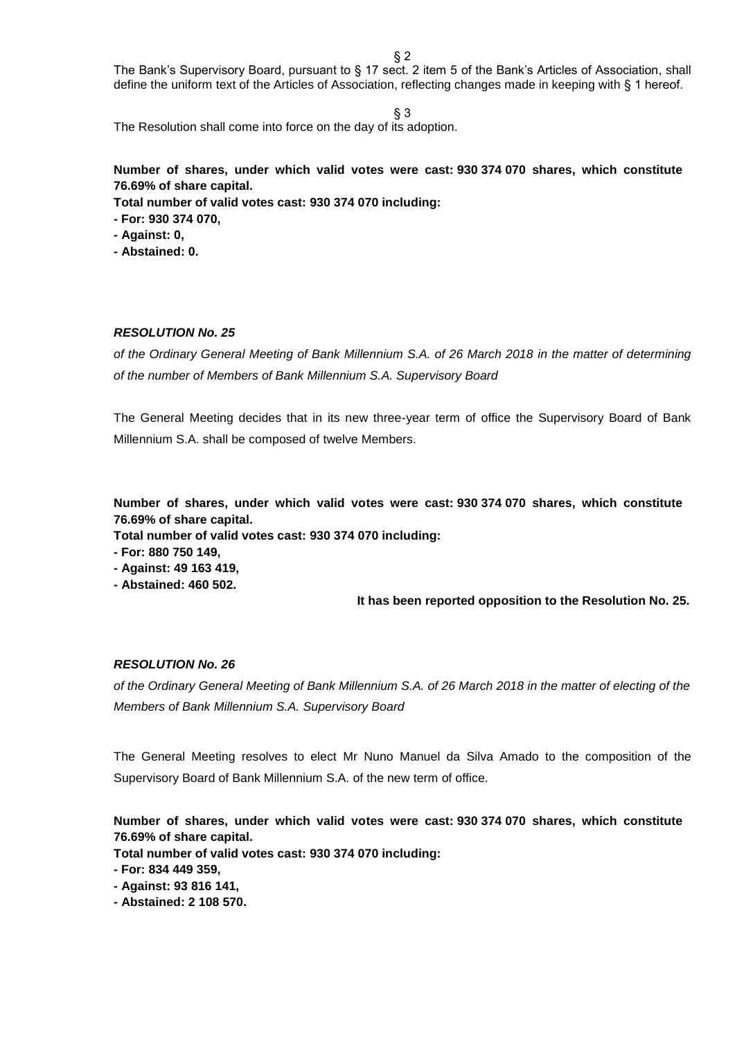$§$  2

The Bank's Supervisory Board, pursuant to § 17 sect. 2 item 5 of the Bank's Articles of Association, shall define the uniform text of the Articles of Association, reflecting changes made in keeping with § 1 hereof.

§ 3

The Resolution shall come into force on the day of its adoption.

# **Number of shares, under which valid votes were cast: 930 374 070 shares, which constitute 76.69% of share capital.**

**Total number of valid votes cast: 930 374 070 including:**

**- For: 930 374 070,**

**- Against: 0,**

**- Abstained: 0.**

# *RESOLUTION No. 25*

*of the Ordinary General Meeting of Bank Millennium S.A. of 26 March 2018 in the matter of determining of the number of Members of Bank Millennium S.A. Supervisory Board*

The General Meeting decides that in its new three-year term of office the Supervisory Board of Bank Millennium S.A. shall be composed of twelve Members.

**Number of shares, under which valid votes were cast: 930 374 070 shares, which constitute 76.69% of share capital.**

**Total number of valid votes cast: 930 374 070 including:**

**- For: 880 750 149,**

**- Against: 49 163 419,**

**- Abstained: 460 502.**

 **It has been reported opposition to the Resolution No. 25.**

# *RESOLUTION No. 26*

*of the Ordinary General Meeting of Bank Millennium S.A. of 26 March 2018 in the matter of electing of the Members of Bank Millennium S.A. Supervisory Board*

The General Meeting resolves to elect Mr Nuno Manuel da Silva Amado to the composition of the Supervisory Board of Bank Millennium S.A. of the new term of office.

**Number of shares, under which valid votes were cast: 930 374 070 shares, which constitute 76.69% of share capital.**

**Total number of valid votes cast: 930 374 070 including:**

- **- Against: 93 816 141,**
- **- Abstained: 2 108 570.**

**<sup>-</sup> For: 834 449 359,**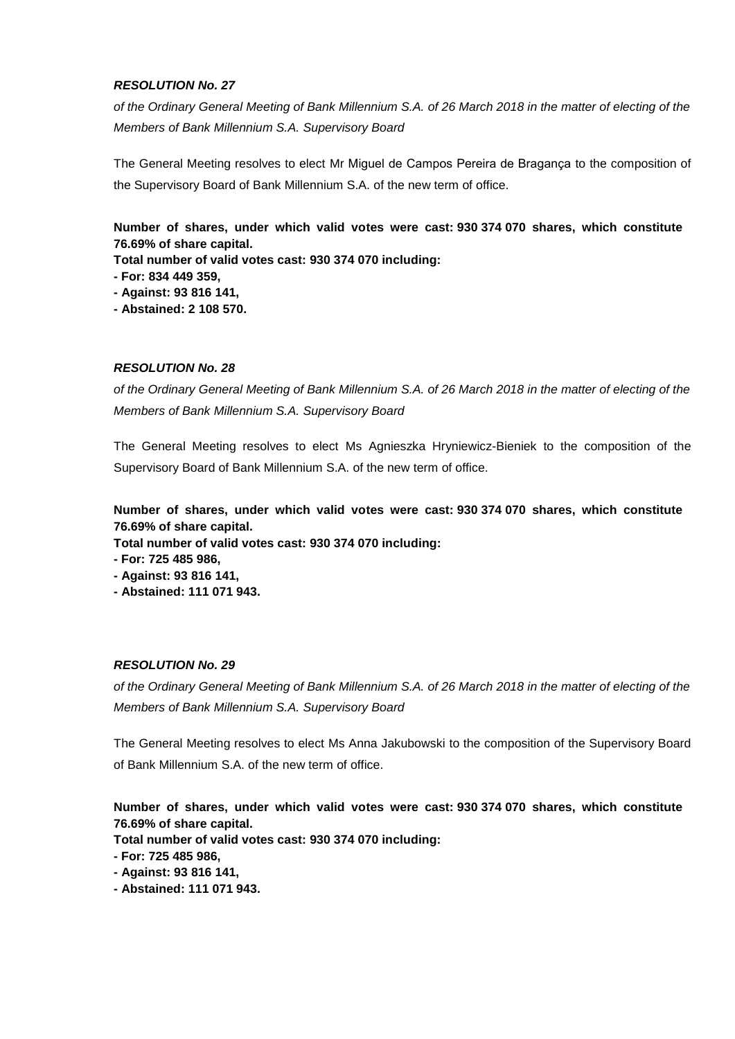*of the Ordinary General Meeting of Bank Millennium S.A. of 26 March 2018 in the matter of electing of the Members of Bank Millennium S.A. Supervisory Board*

The General Meeting resolves to elect Mr Miguel de Campos Pereira de Bragança to the composition of the Supervisory Board of Bank Millennium S.A. of the new term of office.

**Number of shares, under which valid votes were cast: 930 374 070 shares, which constitute 76.69% of share capital.**

**Total number of valid votes cast: 930 374 070 including:**

**- For: 834 449 359,**

**- Against: 93 816 141,**

**- Abstained: 2 108 570.**

#### *RESOLUTION No. 28*

*of the Ordinary General Meeting of Bank Millennium S.A. of 26 March 2018 in the matter of electing of the Members of Bank Millennium S.A. Supervisory Board*

The General Meeting resolves to elect Ms Agnieszka Hryniewicz-Bieniek to the composition of the Supervisory Board of Bank Millennium S.A. of the new term of office.

**Number of shares, under which valid votes were cast: 930 374 070 shares, which constitute 76.69% of share capital.**

**Total number of valid votes cast: 930 374 070 including:**

**- For: 725 485 986,**

**- Against: 93 816 141,**

**- Abstained: 111 071 943.**

## *RESOLUTION No. 29*

*of the Ordinary General Meeting of Bank Millennium S.A. of 26 March 2018 in the matter of electing of the Members of Bank Millennium S.A. Supervisory Board*

The General Meeting resolves to elect Ms Anna Jakubowski to the composition of the Supervisory Board of Bank Millennium S.A. of the new term of office.

**Number of shares, under which valid votes were cast: 930 374 070 shares, which constitute 76.69% of share capital.**

**Total number of valid votes cast: 930 374 070 including:**

**- For: 725 485 986,**

**- Against: 93 816 141,**

**- Abstained: 111 071 943.**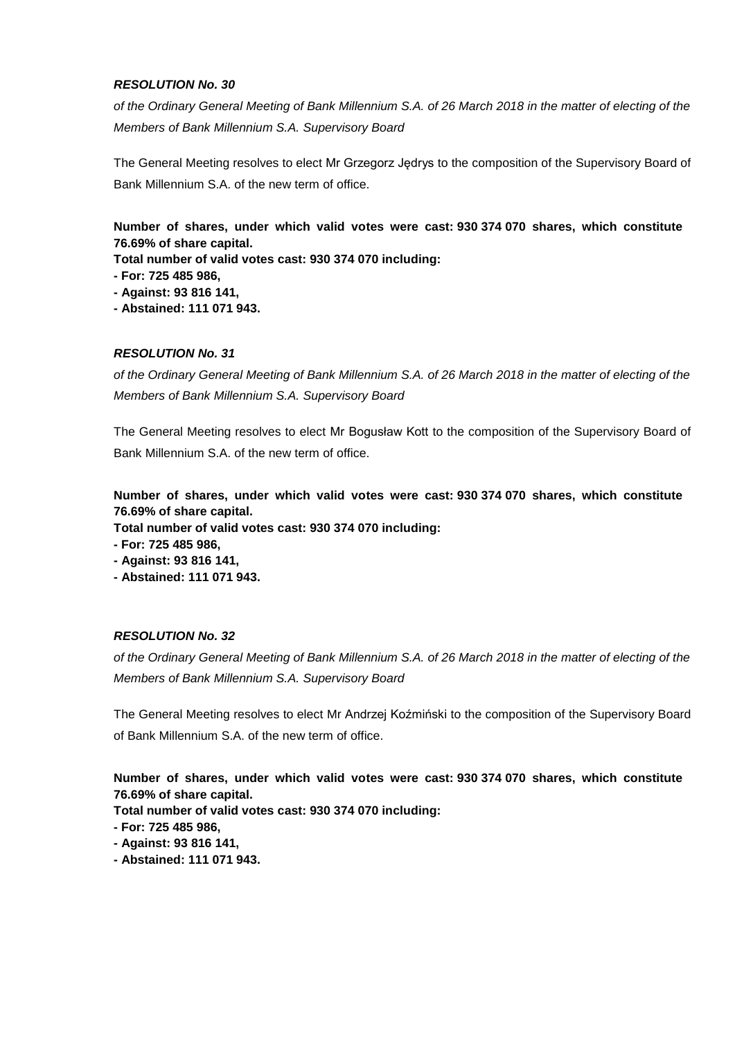*of the Ordinary General Meeting of Bank Millennium S.A. of 26 March 2018 in the matter of electing of the Members of Bank Millennium S.A. Supervisory Board*

The General Meeting resolves to elect Mr Grzegorz Jędrys to the composition of the Supervisory Board of Bank Millennium S.A. of the new term of office.

**Number of shares, under which valid votes were cast: 930 374 070 shares, which constitute 76.69% of share capital.**

**Total number of valid votes cast: 930 374 070 including:**

**- For: 725 485 986,**

**- Against: 93 816 141,**

**- Abstained: 111 071 943.**

## *RESOLUTION No. 31*

*of the Ordinary General Meeting of Bank Millennium S.A. of 26 March 2018 in the matter of electing of the Members of Bank Millennium S.A. Supervisory Board*

The General Meeting resolves to elect Mr Bogusław Kott to the composition of the Supervisory Board of Bank Millennium S.A. of the new term of office.

**Number of shares, under which valid votes were cast: 930 374 070 shares, which constitute 76.69% of share capital.**

**Total number of valid votes cast: 930 374 070 including:**

**- For: 725 485 986,**

**- Against: 93 816 141,**

**- Abstained: 111 071 943.**

## *RESOLUTION No. 32*

*of the Ordinary General Meeting of Bank Millennium S.A. of 26 March 2018 in the matter of electing of the Members of Bank Millennium S.A. Supervisory Board*

The General Meeting resolves to elect Mr Andrzej Koźmiński to the composition of the Supervisory Board of Bank Millennium S.A. of the new term of office.

**Number of shares, under which valid votes were cast: 930 374 070 shares, which constitute 76.69% of share capital.**

**Total number of valid votes cast: 930 374 070 including:**

**- For: 725 485 986,**

**- Against: 93 816 141,**

**- Abstained: 111 071 943.**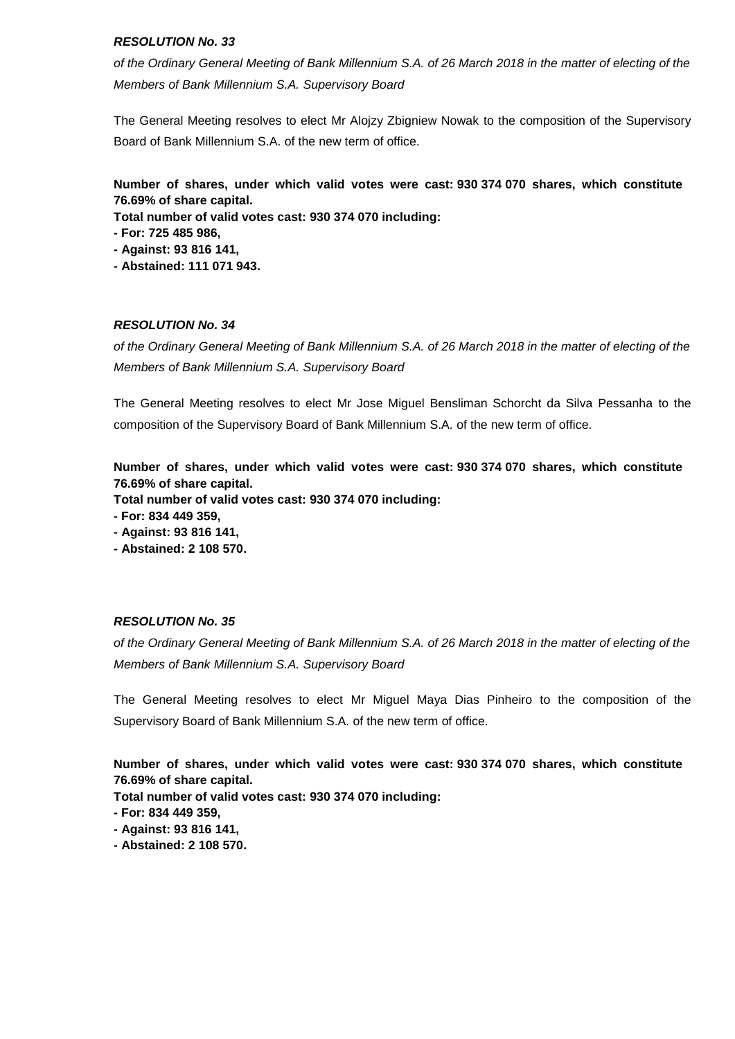*of the Ordinary General Meeting of Bank Millennium S.A. of 26 March 2018 in the matter of electing of the Members of Bank Millennium S.A. Supervisory Board*

The General Meeting resolves to elect Mr Alojzy Zbigniew Nowak to the composition of the Supervisory Board of Bank Millennium S.A. of the new term of office.

**Number of shares, under which valid votes were cast: 930 374 070 shares, which constitute 76.69% of share capital.**

**Total number of valid votes cast: 930 374 070 including:**

**- For: 725 485 986,**

**- Against: 93 816 141,**

**- Abstained: 111 071 943.**

# *RESOLUTION No. 34*

*of the Ordinary General Meeting of Bank Millennium S.A. of 26 March 2018 in the matter of electing of the Members of Bank Millennium S.A. Supervisory Board*

The General Meeting resolves to elect Mr Jose Miguel Bensliman Schorcht da Silva Pessanha to the composition of the Supervisory Board of Bank Millennium S.A. of the new term of office.

**Number of shares, under which valid votes were cast: 930 374 070 shares, which constitute 76.69% of share capital.**

**Total number of valid votes cast: 930 374 070 including:**

**- For: 834 449 359,**

**- Against: 93 816 141,**

**- Abstained: 2 108 570.**

# *RESOLUTION No. 35*

*of the Ordinary General Meeting of Bank Millennium S.A. of 26 March 2018 in the matter of electing of the Members of Bank Millennium S.A. Supervisory Board*

The General Meeting resolves to elect Mr Miguel Maya Dias Pinheiro to the composition of the Supervisory Board of Bank Millennium S.A. of the new term of office.

**Number of shares, under which valid votes were cast: 930 374 070 shares, which constitute 76.69% of share capital.**

**Total number of valid votes cast: 930 374 070 including:**

**- For: 834 449 359,**

**- Against: 93 816 141,**

**- Abstained: 2 108 570.**